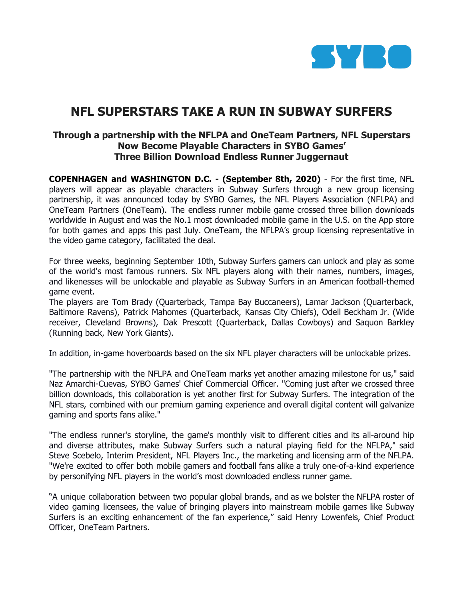

# **NFL SUPERSTARS TAKE A RUN IN SUBWAY SURFERS**

# **Through a partnership with the NFLPA and OneTeam Partners, NFL Superstars Now Become Playable Characters in SYBO Games' Three Billion Download Endless Runner Juggernaut**

**COPENHAGEN and WASHINGTON D.C. - (September 8th, 2020)** - For the first time, NFL players will appear as playable characters in Subway Surfers through a new group licensing partnership, it was announced today by SYBO Games, the NFL Players Association (NFLPA) and OneTeam Partners (OneTeam). The endless runner mobile game crossed three billion downloads worldwide in August and was the No.1 most downloaded mobile game in the U.S. on the App store for both games and apps this past July. OneTeam, the NFLPA's group licensing representative in the video game category, facilitated the deal.

For three weeks, beginning September 10th, Subway Surfers gamers can unlock and play as some of the world's most famous runners. Six NFL players along with their names, numbers, images, and likenesses will be unlockable and playable as Subway Surfers in an American football-themed game event.

The players are Tom Brady (Quarterback, Tampa Bay Buccaneers), Lamar Jackson (Quarterback, Baltimore Ravens), Patrick Mahomes (Quarterback, Kansas City Chiefs), Odell Beckham Jr. (Wide receiver, Cleveland Browns), Dak Prescott (Quarterback, Dallas Cowboys) and Saquon Barkley (Running back, New York Giants).

In addition, in-game hoverboards based on the six NFL player characters will be unlockable prizes.

"The partnership with the NFLPA and OneTeam marks yet another amazing milestone for us," said Naz Amarchi-Cuevas, SYBO Games' Chief Commercial Officer. "Coming just after we crossed three billion downloads, this collaboration is yet another first for Subway Surfers. The integration of the NFL stars, combined with our premium gaming experience and overall digital content will galvanize gaming and sports fans alike."

"The endless runner's storyline, the game's monthly visit to different cities and its all-around hip and diverse attributes, make Subway Surfers such a natural playing field for the NFLPA," said Steve Scebelo, Interim President, NFL Players Inc., the marketing and licensing arm of the NFLPA. "We're excited to offer both mobile gamers and football fans alike a truly one-of-a-kind experience by personifying NFL players in the world's most downloaded endless runner game.

"A unique collaboration between two popular global brands, and as we bolster the NFLPA roster of video gaming licensees, the value of bringing players into mainstream mobile games like Subway Surfers is an exciting enhancement of the fan experience," said Henry Lowenfels, Chief Product Officer, OneTeam Partners.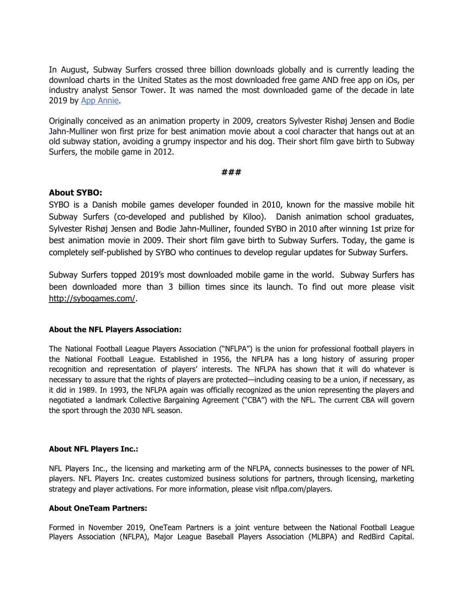In August, Subway Surfers crossed three billion downloads globally and is currently leading the download charts in the United States as the most downloaded free game AND free app on iOs, per industry analyst Sensor Tower. It was named the most downloaded game of the decade in late 2019 by App [Annie.](https://www.appannie.com/en/insights/market-data/a-look-back-at-the-top-apps-games-of-the-decade/)

Originally conceived as an animation property in 2009, creators Sylvester Rishøj Jensen and Bodie Jahn-Mulliner won first prize for best animation movie about a cool character that hangs out at an old subway station, avoiding a grumpy inspector and his dog. Their short film gave birth to Subway Surfers, the mobile game in 2012.

#### **###**

## **About SYBO:**

SYBO is a Danish mobile games developer founded in 2010, known for the massive mobile hit Subway Surfers (co-developed and published by Kiloo). Danish animation school graduates, Sylvester Rishøj Jensen and Bodie Jahn-Mulliner, founded SYBO in 2010 after winning 1st prize for best animation movie in 2009. Their short film gave birth to Subway Surfers. Today, the game is completely self-published by SYBO who continues to develop regular updates for Subway Surfers.

Subway Surfers topped 2019's most downloaded mobile game in the world. Subway Surfers has been downloaded more than 3 billion times since its launch. To find out more please visit <http://sybogames.com/>.

#### **About the NFL Players Association:**

The National Football League Players Association ("NFLPA") is the union for professional football players in the National Football League. Established in 1956, the NFLPA has a long history of assuring proper recognition and representation of players' interests. The NFLPA has shown that it will do whatever is necessary to assure that the rights of players are protected—including ceasing to be a union, if necessary, as it did in 1989. In 1993, the NFLPA again was officially recognized as the union representing the players and negotiated a landmark Collective Bargaining Agreement ("CBA") with the NFL. The current CBA will govern the sport through the 2030 NFL season.

#### **About NFL Players Inc.:**

NFL Players Inc., the licensing and marketing arm of the NFLPA, connects businesses to the power of NFL players. NFL Players Inc. creates customized business solutions for partners, through licensing, marketing strategy and player activations. For more information, please visit nflpa.com/players.

#### **About OneTeam Partners:**

Formed in November 2019, OneTeam Partners is a joint venture between the National Football League Players Association (NFLPA), Major League Baseball Players Association (MLBPA) and RedBird Capital.